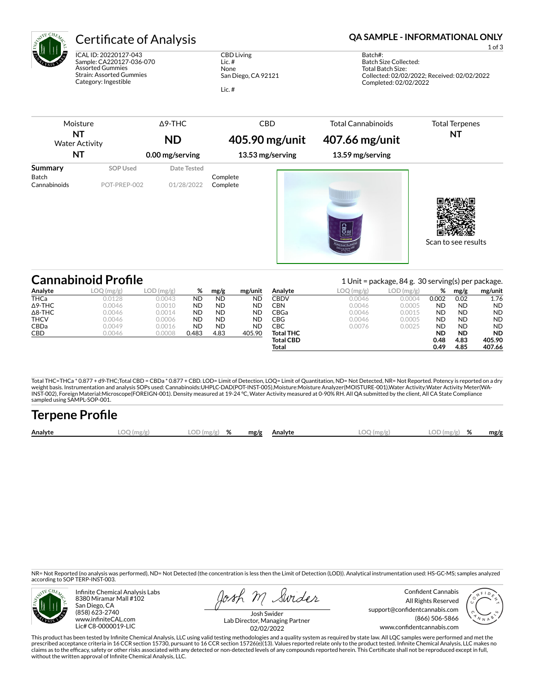

ICAL ID: 20220127-043 Sample: CA220127-036-070 Assorted Gummies Strain: Assorted Gummies Category: Ingestible

CBD Living Lic. # None San Diego, CA 92121 Lic. #

Certificate of Analysis **Certificate of Analysis QA SAMPLE - INFORMATIONAL ONLY** 

1 of 3

Batch#: Batch Size Collected: Total Batch Size: Collected: 02/02/2022; Received: 02/02/2022 Completed: 02/02/2022

| Moisture<br>ΝT<br><b>Water Activity</b><br>NT |                 | $\Delta$ 9-THC  | <b>CBD</b>       | <b>Total Cannabinoids</b>        | <b>Total Terpenes</b><br>ΝT |
|-----------------------------------------------|-----------------|-----------------|------------------|----------------------------------|-----------------------------|
|                                               |                 | <b>ND</b>       | 405.90 mg/unit   | 407.66 mg/unit                   |                             |
|                                               |                 | 0.00 mg/serving | 13.53 mg/serving | 13.59 mg/serving                 |                             |
| Summary<br>Batch                              | <b>SOP Used</b> | Date Tested     | Complete         |                                  |                             |
| Cannabinoids                                  | POT-PREP-002    | 01/28/2022      | Complete         | $\frac{\text{max}}{\text{cens}}$ | Scan to see results         |

|                | <b>Cannabinoid Profile</b> |              |           |           |           |                  |           | 1 Unit = package, 84 g. 30 serving(s) per package. |           |           |           |  |
|----------------|----------------------------|--------------|-----------|-----------|-----------|------------------|-----------|----------------------------------------------------|-----------|-----------|-----------|--|
| Analyte        | LOO<br>) (mg/g)            | $LOD$ (mg/g) | %         | mg/g      | mg/unit   | Analyte          | LOQ(mg/g) | LOD(mg/g)                                          | %         | mg/g      | mg/unit   |  |
| <b>THCa</b>    | 0.0128                     | 0.0043       | <b>ND</b> | <b>ND</b> | ND        | CBDV             | 0.0046    | 0.0004                                             | 0.002     | 0.02      | 1.76      |  |
| $\Delta$ 9-THC | 0.0046                     | 0.0010       | <b>ND</b> | <b>ND</b> | <b>ND</b> | CBN              | 0.0046    | 0.0005                                             | <b>ND</b> | <b>ND</b> | <b>ND</b> |  |
| $\Delta$ 8-THC | 0.0046                     | 0.0014       | <b>ND</b> | <b>ND</b> | <b>ND</b> | CBGa             | 0.0046    | 0.0015                                             | <b>ND</b> | <b>ND</b> | <b>ND</b> |  |
| <b>THCV</b>    | 0.0046                     | 0.0006       | <b>ND</b> | <b>ND</b> | <b>ND</b> | CBG              | 0.0046    | 0.0005                                             | <b>ND</b> | <b>ND</b> | <b>ND</b> |  |
| <b>CBDa</b>    | 0.0049                     | 0.0016       | <b>ND</b> | <b>ND</b> | ND        | CBC              | 0.0076    | 0.0025                                             | <b>ND</b> | <b>ND</b> | <b>ND</b> |  |
| CBD            | 0.0046                     | 0.0008       | 0.483     | 4.83      | 405.90    | <b>Total THC</b> |           |                                                    | <b>ND</b> | <b>ND</b> | <b>ND</b> |  |
|                |                            |              |           |           |           | <b>Total CBD</b> |           |                                                    | 0.48      | 4.83      | 405.90    |  |
|                |                            |              |           |           |           | Total            |           |                                                    | 0.49      | 4.85      | 407.66    |  |

Total THC=THCa \* 0.877 + d9-THC;Total CBD = CBDa \* 0.877 + CBD. LOD= Limit of Detection, LOQ= Limit of Quantitation, ND= Not Detected, NR= Not Reported. Potency is reported on a dry<br>weight basis. Instrumentation and analys INST-002), Foreign Material:Microscope(FOREIGN-001). Density measured at 19-24 °C, Water Activity measured at 0-90% RH. All QA submitted by the client, All CA State Compliance sampled using SAMPL-SOP-001.

| <b>Terpene Profile</b> |           |               |  |              |              |               |      |
|------------------------|-----------|---------------|--|--------------|--------------|---------------|------|
| Analyte                | LOO(mg/g) | $LOD(mg/g)$ % |  | mg/g Analyte | $LOO$ (mg/g) | $LOD(mg/g)$ % | mg/g |

NR= Not Reported (no analysis was performed), ND= Not Detected (the concentration is less then the Limit of Detection (LOD)). Analytical instrumentation used: HS-GC-MS; samples analyzed according to SOP TERP-INST-003.



Infinite Chemical Analysis Labs 8380 Miramar Mall #102 San Diego, CA (858) 623-2740 www.infiniteCAL.com Lic# C8-0000019-LIC

losh M Swider

Confident Cannabis All Rights Reserved support@confidentcannabis.com (866) 506-5866 www.confidentcannabis.com



Josh Swider Lab Director, Managing Partner 02/02/2022

This product has been tested by Infinite Chemical Analysis, LLC using valid testing methodologies and a quality system as required by state law. All LQC samples were performed and met the prescribed acceptance criteria in 16 CCR section 15730, pursuant to 16 CCR section 15726(e)(13). Values reported relate only to the product tested. Infinite Chemical Analysis, LLC makes no<br>claims as to the efficacy, safety without the written approval of Infinite Chemical Analysis, LLC.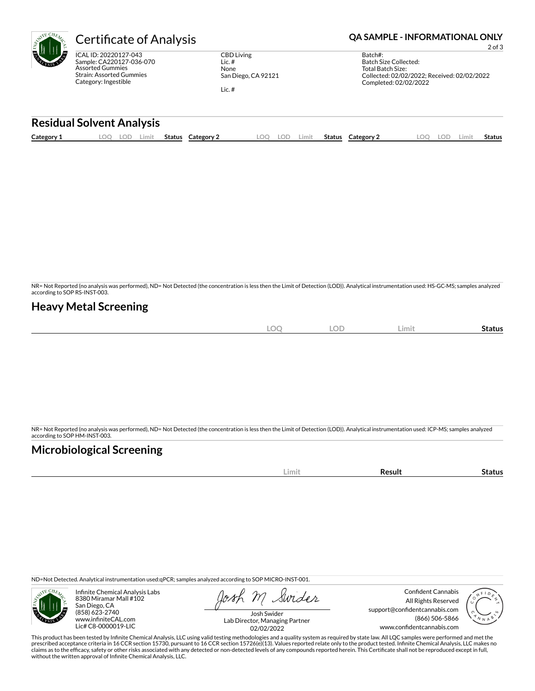

Sample: CA220127-036-070 Strain: Assorted Gummies Category: Ingestible

CBD Living Lic. # None San Diego, CA 92121

Lic. #

# **Certificate of Analysis <b>Certificate of Analysis QA SAMPLE - INFORMATIONAL ONLY**

2 of 3

| Batch#:                                     |
|---------------------------------------------|
| Batch Size Collected:                       |
| Total Batch Size:                           |
| Collected: 02/02/2022; Received: 02/02/2022 |
| Completed: 02/02/2022                       |
|                                             |

### **Residual Solvent Analysis**

| Category 1 | LOO | LOD | Limit | Status | Category 2 | .OQ | LOD | Limit | Status | <b>Category 2</b> | .00 | LOD. | .imit | Status |
|------------|-----|-----|-------|--------|------------|-----|-----|-------|--------|-------------------|-----|------|-------|--------|
|            |     |     |       |        |            |     |     |       |        |                   |     |      |       |        |

NR= Not Reported (no analysis was performed), ND= Not Detected (the concentration is less then the Limit of Detection (LOD)). Analytical instrumentation used: HS-GC-MS; samples analyzed according to SOP RS-INST-003.

### **Heavy Metal Screening**

| <b>LOC</b> | <b>LOD</b> | Limit | -<br>Status |
|------------|------------|-------|-------------|
|            |            |       |             |

NR= Not Reported (no analysis was performed), ND= Not Detected (the concentration is less then the Limit of Detection (LOD)). Analytical instrumentation used: ICP-MS; samples analyzed according to SOP HM-INST-003.

## **Microbiological Screening**

|  |  | im<br>. | . <b>. . .</b> . |  |
|--|--|---------|------------------|--|
|--|--|---------|------------------|--|

ND=Not Detected. Analytical instrumentation used:qPCR; samples analyzed according to SOP MICRO-INST-001.



Infinite Chemical Analysis Labs 8380 Miramar Mall #102 San Diego, CA (858) 623-2740 www.infiniteCAL.com Lic# C8-0000019-LIC

Swider

Confident Cannabis All Rights Reserved support@confidentcannabis.com (866) 506-5866 www.confidentcannabis.com



Josh Swider Lab Director, Managing Partner 02/02/2022

This product has been tested by Infinite Chemical Analysis, LLC using valid testing methodologies and a quality system as required by state law. All LQC samples were performed and met the prescribed acceptance criteria in 16 CCR section 15730, pursuant to 16 CCR section 15726(e)(13). Values reported relate only to the product tested. Infinite Chemical Analysis, LLC makes no<br>claims as to the efficacy, safety without the written approval of Infinite Chemical Analysis, LLC.